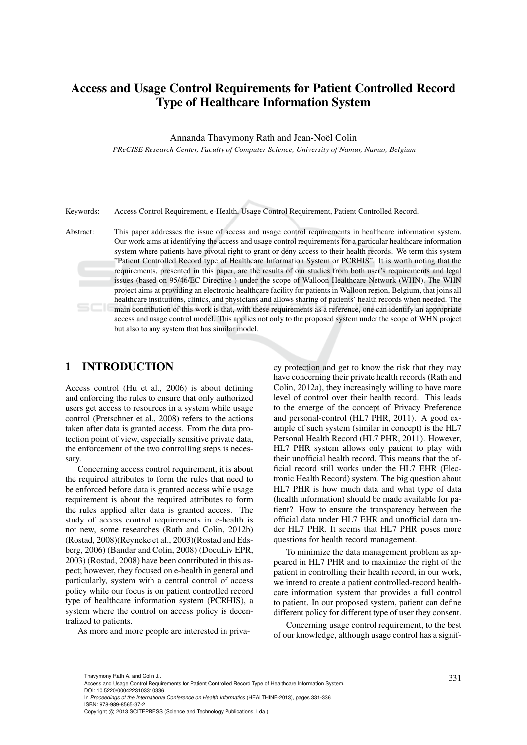# Access and Usage Control Requirements for Patient Controlled Record Type of Healthcare Information System

Annanda Thavymony Rath and Jean-Noël Colin

*PReCISE Research Center, Faculty of Computer Science, University of Namur, Namur, Belgium*

Keywords: Access Control Requirement, e-Health, Usage Control Requirement, Patient Controlled Record.

Abstract: This paper addresses the issue of access and usage control requirements in healthcare information system. Our work aims at identifying the access and usage control requirements for a particular healthcare information system where patients have pivotal right to grant or deny access to their health records. We term this system "Patient Controlled Record type of Healthcare Information System or PCRHIS". It is worth noting that the requirements, presented in this paper, are the results of our studies from both user's requirements and legal issues (based on 95/46/EC Directive ) under the scope of Walloon Healthcare Network (WHN). The WHN project aims at providing an electronic healthcare facility for patients in Walloon region, Belgium, that joins all healthcare institutions, clinics, and physicians and allows sharing of patients' health records when needed. The main contribution of this work is that, with these requirements as a reference, one can identify an appropriate access and usage control model. This applies not only to the proposed system under the scope of WHN project but also to any system that has similar model.

### 1 INTRODUCTION

Access control (Hu et al., 2006) is about defining and enforcing the rules to ensure that only authorized users get access to resources in a system while usage control (Pretschner et al., 2008) refers to the actions taken after data is granted access. From the data protection point of view, especially sensitive private data, the enforcement of the two controlling steps is necessary.

Concerning access control requirement, it is about the required attributes to form the rules that need to be enforced before data is granted access while usage requirement is about the required attributes to form the rules applied after data is granted access. The study of access control requirements in e-health is not new, some researches (Rath and Colin, 2012b) (Rostad, 2008)(Reyneke et al., 2003)(Rostad and Edsberg, 2006) (Bandar and Colin, 2008) (DocuLiv EPR, 2003) (Rostad, 2008) have been contributed in this aspect; however, they focused on e-health in general and particularly, system with a central control of access policy while our focus is on patient controlled record type of healthcare information system (PCRHIS), a system where the control on access policy is decentralized to patients.

As more and more people are interested in priva-

cy protection and get to know the risk that they may have concerning their private health records (Rath and Colin, 2012a), they increasingly willing to have more level of control over their health record. This leads to the emerge of the concept of Privacy Preference and personal-control (HL7 PHR, 2011). A good example of such system (similar in concept) is the HL7 Personal Health Record (HL7 PHR, 2011). However, HL7 PHR system allows only patient to play with their unofficial health record. This means that the official record still works under the HL7 EHR (Electronic Health Record) system. The big question about HL7 PHR is how much data and what type of data (health information) should be made available for patient? How to ensure the transparency between the official data under HL7 EHR and unofficial data under HL7 PHR. It seems that HL7 PHR poses more questions for health record management.

To minimize the data management problem as appeared in HL7 PHR and to maximize the right of the patient in controlling their health record, in our work, we intend to create a patient controlled-record healthcare information system that provides a full control to patient. In our proposed system, patient can define different policy for different type of user they consent.

Concerning usage control requirement, to the best of our knowledge, although usage control has a signif-

In *Proceedings of the International Conference on Health Informatics* (HEALTHINF-2013), pages 331-336 ISBN: 978-989-8565-37-2

<sup>331</sup> Thavymony Rath A. and Colin J.. Access and Usage Control Requirements for Patient Controlled Record Type of Healthcare Information System. DOI: 10.5220/0004223103310336

Copyright © 2013 SCITEPRESS (Science and Technology Publications, Lda.)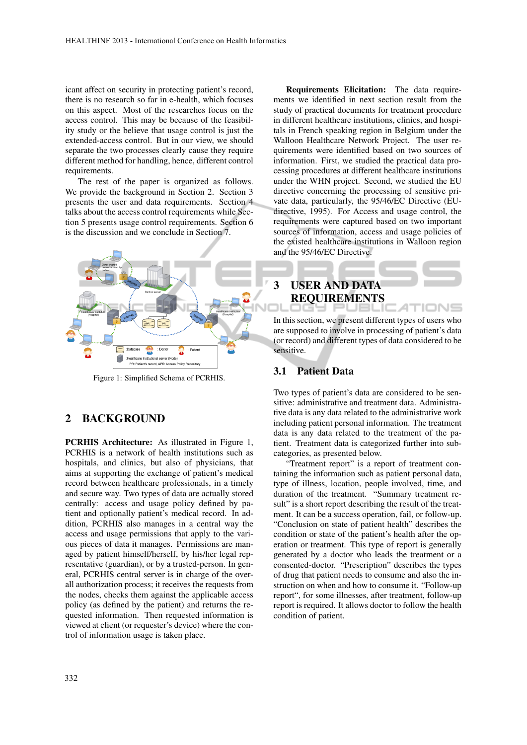icant affect on security in protecting patient's record, there is no research so far in e-health, which focuses on this aspect. Most of the researches focus on the access control. This may be because of the feasibility study or the believe that usage control is just the extended-access control. But in our view, we should separate the two processes clearly cause they require different method for handling, hence, different control requirements.

The rest of the paper is organized as follows. We provide the background in Section 2. Section 3 presents the user and data requirements. Section 4 talks about the access control requirements while Section 5 presents usage control requirements. Section 6 is the discussion and we conclude in Section 7.



Figure 1: Simplified Schema of PCRHIS.

### 2 BACKGROUND

PCRHIS Architecture: As illustrated in Figure 1, PCRHIS is a network of health institutions such as hospitals, and clinics, but also of physicians, that aims at supporting the exchange of patient's medical record between healthcare professionals, in a timely and secure way. Two types of data are actually stored centrally: access and usage policy defined by patient and optionally patient's medical record. In addition, PCRHIS also manages in a central way the access and usage permissions that apply to the various pieces of data it manages. Permissions are managed by patient himself/herself, by his/her legal representative (guardian), or by a trusted-person. In general, PCRHIS central server is in charge of the overall authorization process; it receives the requests from the nodes, checks them against the applicable access policy (as defined by the patient) and returns the requested information. Then requested information is viewed at client (or requester's device) where the control of information usage is taken place.

Requirements Elicitation: The data requirements we identified in next section result from the study of practical documents for treatment procedure in different healthcare institutions, clinics, and hospitals in French speaking region in Belgium under the Walloon Healthcare Network Project. The user requirements were identified based on two sources of information. First, we studied the practical data processing procedures at different healthcare institutions under the WHN project. Second, we studied the EU directive concerning the processing of sensitive private data, particularly, the 95/46/EC Directive (EUdirective, 1995). For Access and usage control, the requirements were captured based on two important sources of information, access and usage policies of the existed healthcare institutions in Walloon region and the 95/46/EC Directive.

# 3 USER AND DATA REQUIREMENTS

In this section, we present different types of users who are supposed to involve in processing of patient's data (or record) and different types of data considered to be sensitive.

#### 3.1 Patient Data

Two types of patient's data are considered to be sensitive: administrative and treatment data. Administrative data is any data related to the administrative work including patient personal information. The treatment data is any data related to the treatment of the patient. Treatment data is categorized further into subcategories, as presented below.

"Treatment report" is a report of treatment containing the information such as patient personal data, type of illness, location, people involved, time, and duration of the treatment. "Summary treatment result" is a short report describing the result of the treatment. It can be a success operation, fail, or follow-up. "Conclusion on state of patient health" describes the condition or state of the patient's health after the operation or treatment. This type of report is generally generated by a doctor who leads the treatment or a consented-doctor. "Prescription" describes the types of drug that patient needs to consume and also the instruction on when and how to consume it. "Follow-up report", for some illnesses, after treatment, follow-up report is required. It allows doctor to follow the health condition of patient.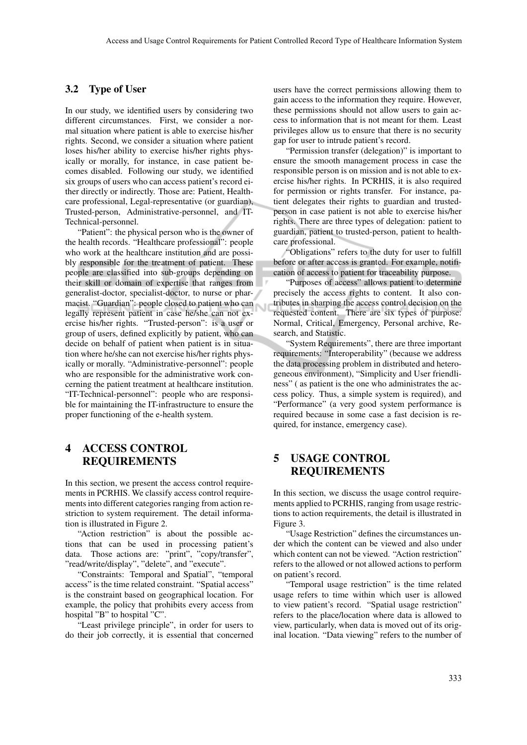#### 3.2 Type of User

In our study, we identified users by considering two different circumstances. First, we consider a normal situation where patient is able to exercise his/her rights. Second, we consider a situation where patient loses his/her ability to exercise his/her rights physically or morally, for instance, in case patient becomes disabled. Following our study, we identified six groups of users who can access patient's record either directly or indirectly. Those are: Patient, Healthcare professional, Legal-representative (or guardian), Trusted-person, Administrative-personnel, and IT-Technical-personnel.

"Patient": the physical person who is the owner of the health records. "Healthcare professional": people who work at the healthcare institution and are possibly responsible for the treatment of patient. These people are classified into sub-groups depending on their skill or domain of expertise that ranges from generalist-doctor, specialist-doctor, to nurse or pharmacist. "Guardian": people closed to patient who can legally represent patient in case he/she can not exercise his/her rights. "Trusted-person": is a user or group of users, defined explicitly by patient, who can decide on behalf of patient when patient is in situation where he/she can not exercise his/her rights physically or morally. "Administrative-personnel": people who are responsible for the administrative work concerning the patient treatment at healthcare institution. "IT-Technical-personnel": people who are responsible for maintaining the IT-infrastructure to ensure the proper functioning of the e-health system.

### 4 ACCESS CONTROL REQUIREMENTS

In this section, we present the access control requirements in PCRHIS. We classify access control requirements into different categories ranging from action restriction to system requirement. The detail information is illustrated in Figure 2.

"Action restriction" is about the possible actions that can be used in processing patient's data. Those actions are: "print", "copy/transfer", "read/write/display", "delete", and "execute".

"Constraints: Temporal and Spatial", "temporal access" is the time related constraint. "Spatial access" is the constraint based on geographical location. For example, the policy that prohibits every access from hospital "B" to hospital "C".

"Least privilege principle", in order for users to do their job correctly, it is essential that concerned users have the correct permissions allowing them to gain access to the information they require. However, these permissions should not allow users to gain access to information that is not meant for them. Least privileges allow us to ensure that there is no security gap for user to intrude patient's record.

"Permission transfer (delegation)" is important to ensure the smooth management process in case the responsible person is on mission and is not able to exercise his/her rights. In PCRHIS, it is also required for permission or rights transfer. For instance, patient delegates their rights to guardian and trustedperson in case patient is not able to exercise his/her rights. There are three types of delegation: patient to guardian, patient to trusted-person, patient to healthcare professional.

"Obligations" refers to the duty for user to fulfill before or after access is granted. For example, notification of access to patient for traceability purpose.

"Purposes of access" allows patient to determine precisely the access rights to content. It also contributes in sharping the access control decision on the requested content. There are six types of purpose: Normal, Critical, Emergency, Personal archive, Research, and Statistic.

"System Requirements", there are three important requirements: "Interoperability" (because we address the data processing problem in distributed and heterogeneous environment), "Simplicity and User friendliness" ( as patient is the one who administrates the access policy. Thus, a simple system is required), and "Performance" (a very good system performance is required because in some case a fast decision is required, for instance, emergency case).

### 5 USAGE CONTROL REQUIREMENTS

In this section, we discuss the usage control requirements applied to PCRHIS, ranging from usage restrictions to action requirements, the detail is illustrated in Figure 3.

"Usage Restriction" defines the circumstances under which the content can be viewed and also under which content can not be viewed. "Action restriction" refers to the allowed or not allowed actions to perform on patient's record.

"Temporal usage restriction" is the time related usage refers to time within which user is allowed to view patient's record. "Spatial usage restriction" refers to the place/location where data is allowed to view, particularly, when data is moved out of its original location. "Data viewing" refers to the number of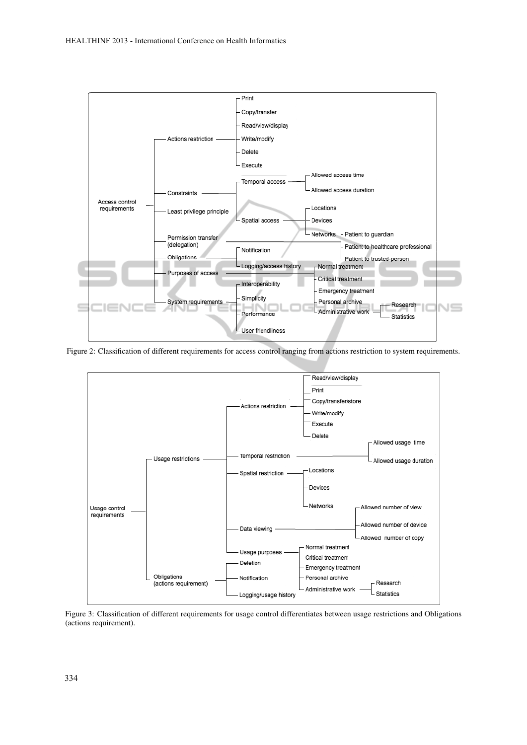

Figure 2: Classification of different requirements for access control ranging from actions restriction to system requirements.



Figure 3: Classification of different requirements for usage control differentiates between usage restrictions and Obligations (actions requirement).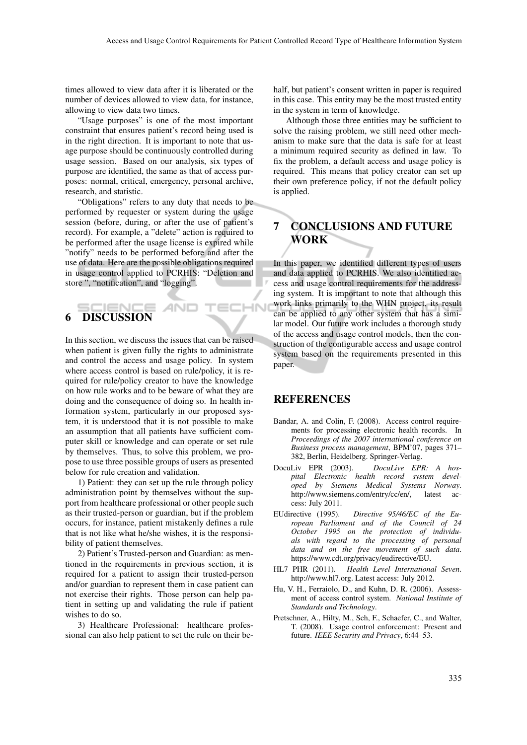times allowed to view data after it is liberated or the number of devices allowed to view data, for instance, allowing to view data two times.

"Usage purposes" is one of the most important constraint that ensures patient's record being used is in the right direction. It is important to note that usage purpose should be continuously controlled during usage session. Based on our analysis, six types of purpose are identified, the same as that of access purposes: normal, critical, emergency, personal archive, research, and statistic.

"Obligations" refers to any duty that needs to be performed by requester or system during the usage session (before, during, or after the use of patient's record). For example, a "delete" action is required to be performed after the usage license is expired while "notify" needs to be performed before and after the use of data. Here are the possible obligations required in usage control applied to PCRHIS: "Deletion and store ", "notification", and "logging".

# 6 DISCUSSION

In this section, we discuss the issues that can be raised when patient is given fully the rights to administrate and control the access and usage policy. In system where access control is based on rule/policy, it is required for rule/policy creator to have the knowledge on how rule works and to be beware of what they are doing and the consequence of doing so. In health information system, particularly in our proposed system, it is understood that it is not possible to make an assumption that all patients have sufficient computer skill or knowledge and can operate or set rule by themselves. Thus, to solve this problem, we propose to use three possible groups of users as presented below for rule creation and validation.

1) Patient: they can set up the rule through policy administration point by themselves without the support from healthcare professional or other people such as their trusted-person or guardian, but if the problem occurs, for instance, patient mistakenly defines a rule that is not like what he/she wishes, it is the responsibility of patient themselves.

2) Patient's Trusted-person and Guardian: as mentioned in the requirements in previous section, it is required for a patient to assign their trusted-person and/or guardian to represent them in case patient can not exercise their rights. Those person can help patient in setting up and validating the rule if patient wishes to do so.

3) Healthcare Professional: healthcare professional can also help patient to set the rule on their behalf, but patient's consent written in paper is required in this case. This entity may be the most trusted entity in the system in term of knowledge.

Although those three entities may be sufficient to solve the raising problem, we still need other mechanism to make sure that the data is safe for at least a minimum required security as defined in law. To fix the problem, a default access and usage policy is required. This means that policy creator can set up their own preference policy, if not the default policy is applied.

# 7 CONCLUSIONS AND FUTURE WORK

In this paper, we identified different types of users and data applied to PCRHIS. We also identified access and usage control requirements for the addressing system. It is important to note that although this work links primarily to the WHN project, its result can be applied to any other system that has a similar model. Our future work includes a thorough study of the access and usage control models, then the construction of the configurable access and usage control system based on the requirements presented in this paper.

### REFERENCES

ECHN

- Bandar, A. and Colin, F. (2008). Access control requirements for processing electronic health records. In *Proceedings of the 2007 international conference on Business process management*, BPM'07, pages 371– 382, Berlin, Heidelberg. Springer-Verlag.
- DocuLiv EPR (2003). *DocuLive EPR: A hospital Electronic health record system developed by Siemens Medical Systems Norway*. http://www.siemens.com/entry/cc/en/, latest access: July 2011.
- EUdirective (1995). *Directive 95/46/EC of the European Parliament and of the Council of 24 October 1995 on the protection of individuals with regard to the processing of personal data and on the free movement of such data*. https://www.cdt.org/privacy/eudirective/EU.
- HL7 PHR (2011). *Health Level International Seven*. http://www.hl7.org. Latest access: July 2012.
- Hu, V. H., Ferraiolo, D., and Kuhn, D. R. (2006). Assessment of access control system. *National Institute of Standards and Technology*.
- Pretschner, A., Hilty, M., Sch, F., Schaefer, C., and Walter, T. (2008). Usage control enforcement: Present and future. *IEEE Security and Privacy*, 6:44–53.